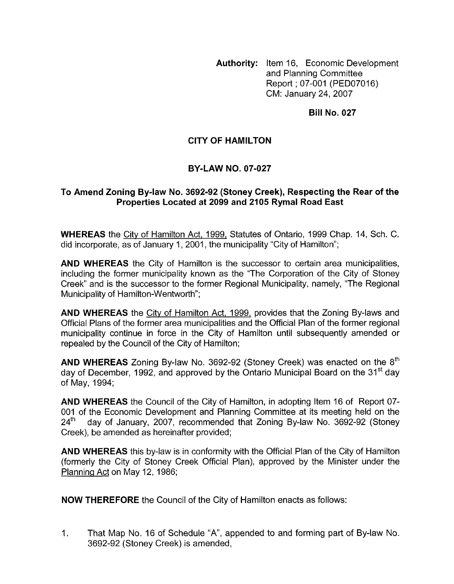**Authority:** Item 16, Economic Development and Planning Committee Report ; 07-001 (PED07016) CM: January 24,2007

**Bill No. 027** 

## **CITY OF HAMILTON**

## **BY-LAW NO. 07-027**

## To Amend Zoning By-law No. 3692-92 (Stoney Creek), Respecting the Rear of the **Properties Located at 2099 and 2105 Rymal Road East**

**WHEREAS** the City of Hamilton Act, 1999, Statutes of Ontario, 1999 Chap. 14, Sch. C. did incorporate, as of January 1, 2001, the municipality "City of Hamilton";

**AND WHEREAS** the City of Hamilton is the successor to certain area municipalities, including the former municipality known as the "The Corporation of the City of Stoney Creek" and is the successor to the former Regional Municipality, namely, "The Regional Municipality of Hamilton-Wentworth";

**AND WHEREAS** the Citv of Hamilton Act, 1999, provides that the Zoning By-laws and Official Plans of the former area municipalities and the Official Plan of the former regional municipality continue in force in the City of Hamilton until subsequently amended or repealed by the Council of the City of Hamilton;

**AND WHEREAS** Zoning By-law No. 3692-92 (Stoney Creek) was enacted on the 8<sup>th</sup> day of December, 1992, and approved by the Ontario Municipal Board on the 31<sup>st</sup> day of May, 1994;

**AND WHEREAS** the Council of the City of Hamilton, in adopting Item 16 of Report 07- 001 of the Economic Development and Planning Committee at its meeting held on the  $24<sup>th</sup>$  day of January, 2007, recommended that Zoning By-law No. 3692-92 (Stoney Creek), be amended as hereinafter provided;

**AND WHEREAS** this by-law is in conformity with the Official Plan of the City of Hamilton (formerly the City of Stoney Creek Official Plan), approved by the Minister under the Planning Act on May 12, 1986;

**NOW THEREFORE** the Council of the City of Hamilton enacts as follows:

1. That Map No. 16 of Schedule "A', appended to and forming part of By-law No. 3692-92 (Stoney Creek) is amended,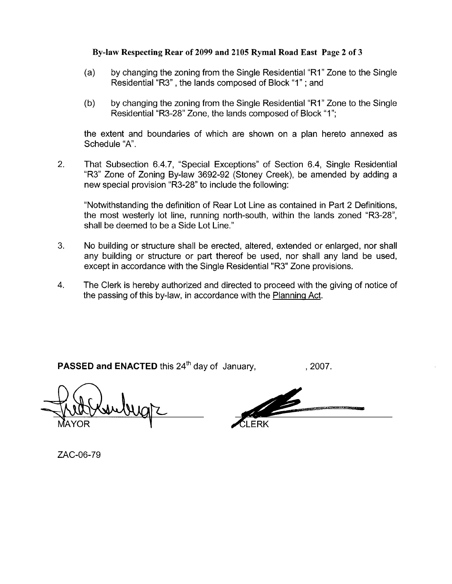## **By-law Respecting Rear of 2099 and 2105 Rymal Road East Page 2 of 3**

- (a) by changing the zoning from the Single Residential "RI" Zone to the Single Residential "R3" , the lands composed of Block "I" ; and
- (b) by changing the zoning from the Single Residential "RI" Zone to the Single Residential "R3-28" Zone, the lands composed of Block "1";

the extent and boundaries of which are shown on a plan hereto annexed as Schedule "A".

2. That Subsection 6.4.7, "Special Exceptions" of Section 6.4, Single Residential "R3" Zone of Zoning By-law 3692-92 (Stoney Creek), be amended by adding a new special provision "R3-28" to include the following:

"Notwithstanding the definition of Rear Lot Line as contained in Part 2 Definitions, the most westerly lot line, running north-south, within the lands zoned "R3-28", shall be deemed to be a Side Lot Line."

- 3. No building or structure shall be erected, altered, extended or enlarged, nor shall any building or structure or part thereof be used, nor shall any land be used, except in accordance with the Single Residential "R3" Zone provisions.
- **4.** The Clerk is hereby authorized and directed to proceed with the giving of notice of the passing of this by-law, in accordance with the Planning Act.

**PASSED and ENACTED** this 24<sup>th</sup> day of January, 2007.

YOR

ZAC-06-79